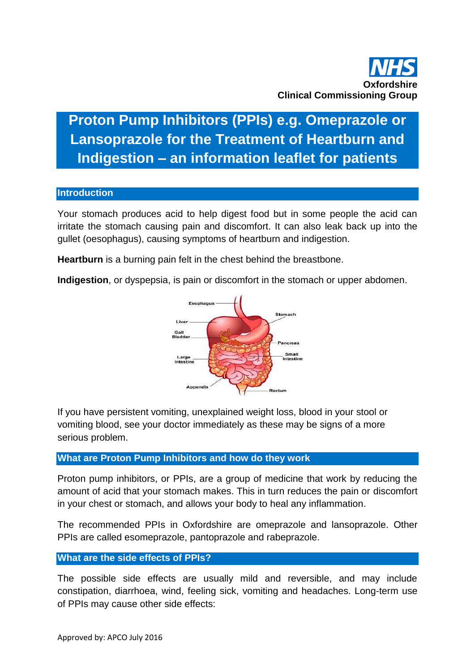

# **Proton Pump Inhibitors (PPIs) e.g. Omeprazole or Lansoprazole for the Treatment of Heartburn and Indigestion – an information leaflet for patients**

#### **Introduction**

Your stomach produces acid to help digest food but in some people the acid can irritate the stomach causing pain and discomfort. It can also leak back up into the gullet (oesophagus), causing symptoms of heartburn and indigestion.

**Heartburn** is a burning pain felt in the chest behind the breastbone.

**Indigestion**, or dyspepsia, is pain or discomfort in the stomach or upper abdomen.



If you have persistent vomiting, unexplained weight loss, blood in your stool or vomiting blood, see your doctor immediately as these may be signs of a more serious problem.

# **What are Proton Pump Inhibitors and how do they work**

Proton pump inhibitors, or PPIs, are a group of medicine that work by reducing the amount of acid that your stomach makes. This in turn reduces the pain or discomfort in your chest or stomach, and allows your body to heal any inflammation.

The recommended PPIs in Oxfordshire are omeprazole and lansoprazole. Other PPIs are called esomeprazole, pantoprazole and rabeprazole.

#### **What are the side effects of PPIs?**

The possible side effects are usually mild and reversible, and may include constipation, diarrhoea, wind, feeling sick, vomiting and headaches. Long-term use of PPIs may cause other side effects: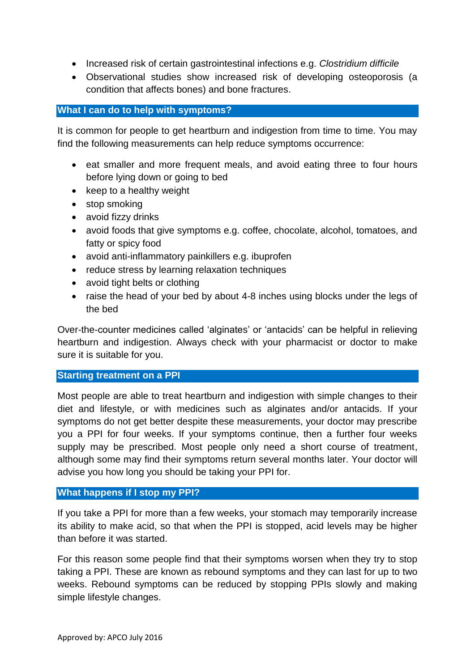- Increased risk of certain gastrointestinal infections e.g. *Clostridium difficile*
- Observational studies show increased risk of developing osteoporosis (a condition that affects bones) and bone fractures.

# **What I can do to help with symptoms?**

It is common for people to get heartburn and indigestion from time to time. You may find the following measurements can help reduce symptoms occurrence:

- eat smaller and more frequent meals, and avoid eating three to four hours before lying down or going to bed
- $\bullet$  keep to a healthy weight
- stop smoking
- avoid fizzy drinks
- avoid foods that give symptoms e.g. coffee, chocolate, alcohol, tomatoes, and fatty or spicy food
- avoid anti-inflammatory painkillers e.g. ibuprofen
- reduce stress by learning relaxation techniques
- avoid tight belts or clothing
- raise the head of your bed by about 4-8 inches using blocks under the legs of the bed

Over-the-counter medicines called 'alginates' or 'antacids' can be helpful in relieving heartburn and indigestion. Always check with your pharmacist or doctor to make sure it is suitable for you.

# **Starting treatment on a PPI**

Most people are able to treat heartburn and indigestion with simple changes to their diet and lifestyle, or with medicines such as alginates and/or antacids. If your symptoms do not get better despite these measurements, your doctor may prescribe you a PPI for four weeks. If your symptoms continue, then a further four weeks supply may be prescribed. Most people only need a short course of treatment, although some may find their symptoms return several months later. Your doctor will advise you how long you should be taking your PPI for.

# **What happens if I stop my PPI?**

If you take a PPI for more than a few weeks, your stomach may temporarily increase its ability to make acid, so that when the PPI is stopped, acid levels may be higher than before it was started.

For this reason some people find that their symptoms worsen when they try to stop taking a PPI. These are known as rebound symptoms and they can last for up to two weeks. Rebound symptoms can be reduced by stopping PPIs slowly and making simple lifestyle changes.